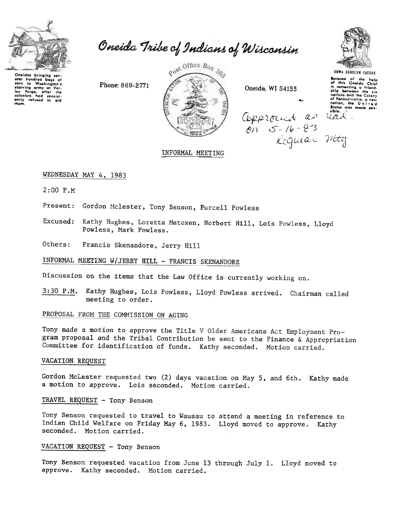

Oneida Tribe of Indians of Wisconsin

Oneidas bringing sev 

Phone: 869-2771



Oneida, WI 54155



Because of the help<br>of this Oneida Chief<br>in comenting a friend-<br>ship between the six<br>nations and the Colony<br>of Accordination and nuriens and the Colony<br>of Pennsylvania, a new<br>nation, the United<br>States was made pos-<br>sible. approced as real<br>on 5-16-83 rad.

INFORMAL MEETING

### WEDNESDAY MAY 4, 1983

 $2:00$   $P.M$ 

Present: Gordon Mclester, Tony Benson, Purcell Powless

Excused: Kathy Hughes, Loretta Metoxen, Norbert Hill, Lois Powless, Lloyd Powless, Mark Powless.

Others: Francis Skenandore, Jerry Hill

INFORMAL MEETING W/JERRY HILL - FRANCIS SKENANDORE

Discussion on the items that the Law Office is currently working on.

Kathy Hughes, Lois Powless, Lloyd Powless arrived. Chairman called  $3:30$  P.M. meeting to order.

#### PROPOSAL FROM THE COMMISSION ON AGING

Tony made a motion to approve the Title V Older Americans Act Employment Program proposal and the Tribal Contribution be sent to the Finance & Appropriation Committee for identification of funds. Kathy seconded. Motion carried.

#### VACATION REQUEST

Gordon McLester requested two (2) days vacation on May 5, and 6th. Kathy made a motion to approve. Lois seconded. Motion carried.

## TRAVEL REQUEST - Tony Benson

Tony Benson requested to travel to Wausau to attend a meeting in reference to Indian Child Welfare on Friday May 6, 1983. Lloyd moved to approve. Kathy seconded. Motion carried.

# VACATION REQUEST - Tony Benson

Tony Benson requested vacation from June 13 through July 1. Lloyd moved to approve. Kathy seconded. Motion carried.